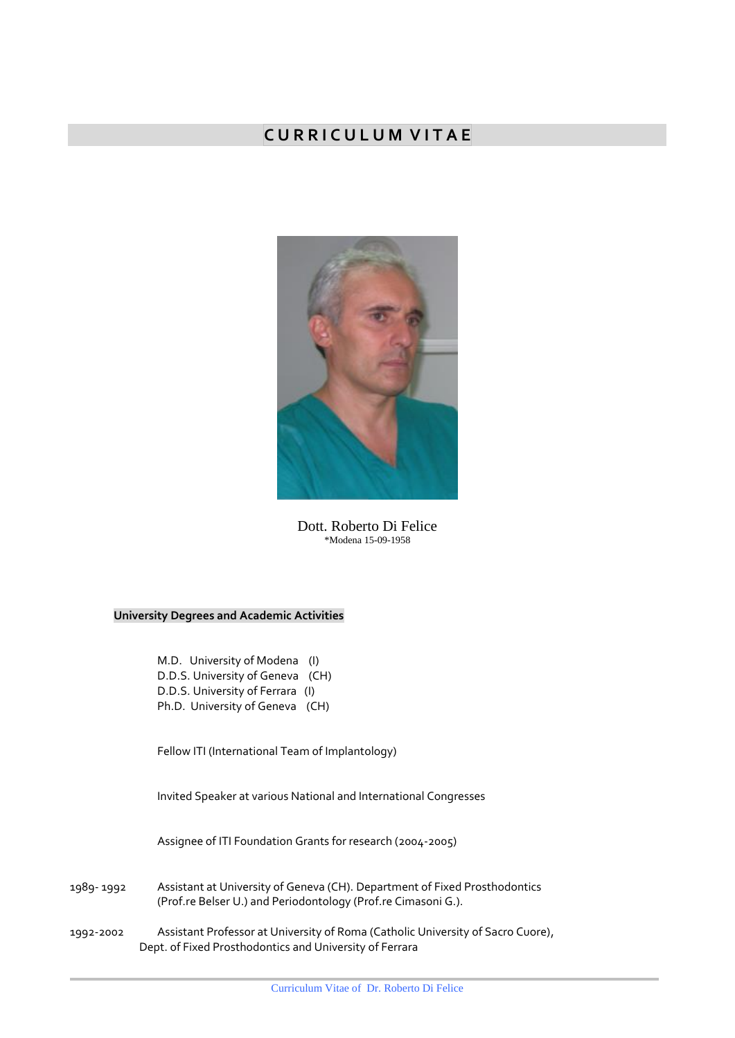# **C U R R I C U L U M V I T A E**



Dott. Roberto Di Felice \*Modena 15-09-1958

## **University Degrees and Academic Activities**

M.D. University of Modena (I) D.D.S. University of Geneva (CH) D.D.S. University of Ferrara (I) Ph.D. University of Geneva (CH)

Fellow ITI (International Team of Implantology)

Invited Speaker at various National and International Congresses

Assignee of ITI Foundation Grants for research (2004-2005)

| 1989- 1992 | Assistant at University of Geneva (CH). Department of Fixed Prosthodontics |
|------------|----------------------------------------------------------------------------|
|            | (Prof.re Belser U.) and Periodontology (Prof.re Cimasoni G.).              |

1992-2002 Assistant Professor at University of Roma (Catholic University of Sacro Cuore), Dept. of Fixed Prosthodontics and University of Ferrara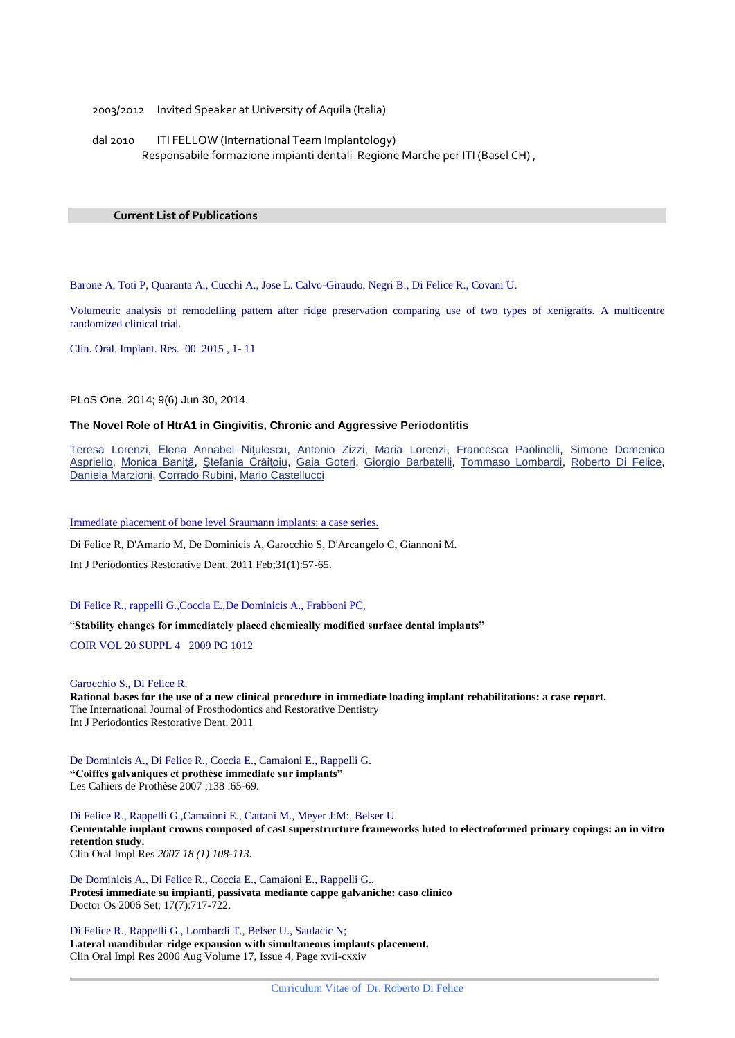2003/2012 Invited Speaker at University of Aquila (Italia)

dal 2010 ITI FELLOW (International Team Implantology) Responsabile formazione impianti dentali Regione Marche per ITI (Basel CH) ,

### **Current List of Publications**

Barone A, Toti P, Quaranta A., Cucchi A., Jose L. Calvo-Giraudo, Negri B., Di Felice R., Covani U.

Volumetric analysis of remodelling pattern after ridge preservation comparing use of two types of xenigrafts. A multicentre randomized clinical trial.

Clin. Oral. Implant. Res. 00 2015 , 1- 11

PLoS One. 2014; 9(6) Jun 30, 2014.

## **The Novel Role of HtrA1 in Gingivitis, Chronic and Aggressive Periodontitis**

[Teresa Lorenzi,](http://www.ncbi.nlm.nih.gov/pubmed/?term=Lorenzi%20T%255Bauth%255D) [Elena Annabel Niţulescu,](http://www.ncbi.nlm.nih.gov/pubmed/?term=Ni%2526%2523x00163%253Bulescu%20EA%255Bauth%255D) [Antonio Zizzi,](http://www.ncbi.nlm.nih.gov/pubmed/?term=Zizzi%20A%255Bauth%255D) [Maria Lorenzi,](http://www.ncbi.nlm.nih.gov/pubmed/?term=Lorenzi%20M%255Bauth%255D) [Francesca Paolinelli,](http://www.ncbi.nlm.nih.gov/pubmed/?term=Paolinelli%20F%255Bauth%255D) [Simone Domenico](http://www.ncbi.nlm.nih.gov/pubmed/?term=Aspriello%20SD%255Bauth%255D)  [Aspriello,](http://www.ncbi.nlm.nih.gov/pubmed/?term=Aspriello%20SD%255Bauth%255D) [Monica Baniţă,](http://www.ncbi.nlm.nih.gov/pubmed/?term=Bani%2526%2523x00163%253B%2526%2523x00103%253B%20M%255Bauth%255D) [Ştefania Crăiţoiu,](http://www.ncbi.nlm.nih.gov/pubmed/?term=Cr%2526%2523x00103%253Bi%2526%2523x00163%253Boiu%20%2526%2523x0015e%253B%255Bauth%255D) [Gaia Goteri,](http://www.ncbi.nlm.nih.gov/pubmed/?term=Goteri%20G%255Bauth%255D) [Giorgio Barbatelli,](http://www.ncbi.nlm.nih.gov/pubmed/?term=Barbatelli%20G%255Bauth%255D) [Tommaso Lombardi,](http://www.ncbi.nlm.nih.gov/pubmed/?term=Lombardi%20T%255Bauth%255D) [Roberto Di Felice,](http://www.ncbi.nlm.nih.gov/pubmed/?term=Di%20Felice%20R%255Bauth%255D) [Daniela Marzioni,](http://www.ncbi.nlm.nih.gov/pubmed/?term=Marzioni%20D%255Bauth%255D) [Corrado Rubini,](http://www.ncbi.nlm.nih.gov/pubmed/?term=Rubini%20C%255Bauth%255D) [Mario Castellucci](http://www.ncbi.nlm.nih.gov/pubmed/?term=Castellucci%20M%255Bauth%255D)

[Immediate placement of bone level Sraumann implants: a case series.](http://www.ncbi.nlm.nih.gov/pubmed/21365027)

Di Felice R, D'Amario M, De Dominicis A, Garocchio S, D'Arcangelo C, Giannoni M.

Int J Periodontics Restorative Dent. 2011 Feb;31(1):57-65.

Di Felice R., rappelli G.,Coccia E.,De Dominicis A., Frabboni PC,

"**Stability changes for immediately placed chemically modified surface dental implants"**

COIR VOL 20 SUPPL 4 2009 PG 1012

Garocchio S., Di Felice R. **Rational bases for the use of a new clinical procedure in immediate loading implant rehabilitations: a case report.** The International Journal of Prosthodontics and Restorative Dentistry Int J Periodontics Restorative Dent. 2011

De Dominicis A., Di Felice R., Coccia E., Camaioni E., Rappelli G. **"Coiffes galvaniques et prothèse immediate sur implants"**  Les Cahiers de Prothèse 2007 ;138 :65-69.

Di Felice R., Rappelli G.,Camaioni E., Cattani M., Meyer J:M:, Belser U. **Cementable implant crowns composed of cast superstructure frameworks luted to electroformed primary copings: an in vitro retention study.**  Clin Oral Impl Res *2007 18 (1) 108-113.*

De Dominicis A., Di Felice R., Coccia E., Camaioni E., Rappelli G., **Protesi immediate su impianti, passivata mediante cappe galvaniche: caso clinico** Doctor Os 2006 Set; 17(7):717-722.

Di Felice R., Rappelli G., Lombardi T., Belser U., Saulacic N; **Lateral mandibular ridge expansion with simultaneous implants placement.** Clin Oral Impl Res 2006 Aug Volume 17, Issue 4, Page xvii-cxxiv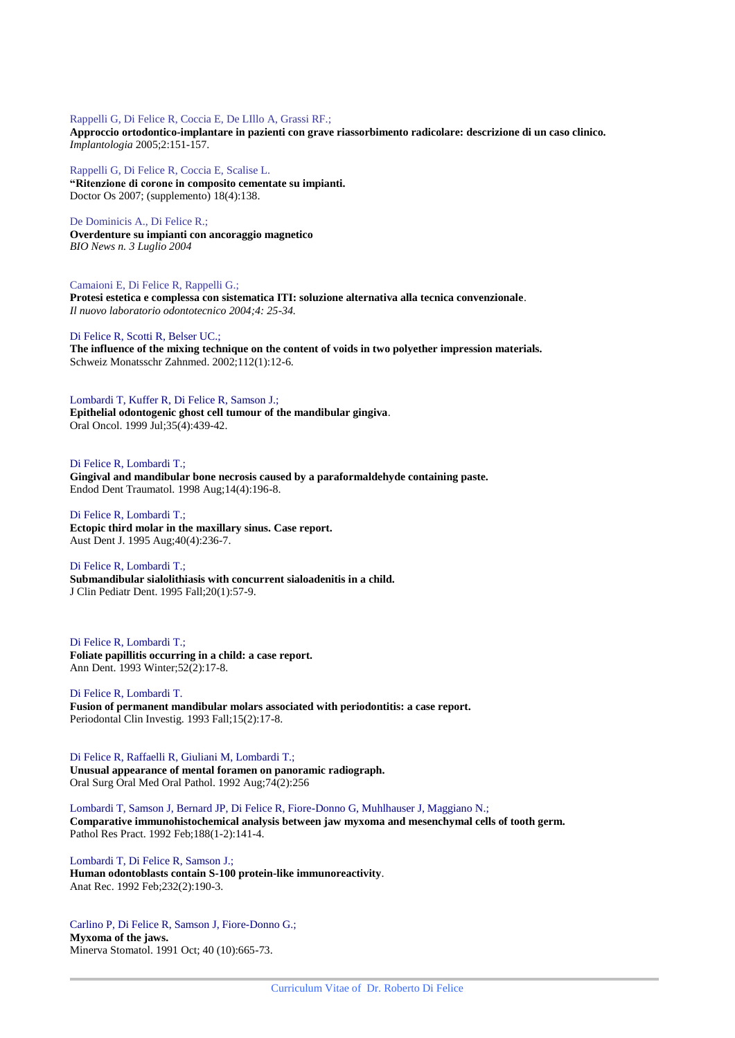#### Rappelli G, Di Felice R, Coccia E, De LIllo A, Grassi RF.;

**Approccio ortodontico-implantare in pazienti con grave riassorbimento radicolare: descrizione di un caso clinico.** *Implantologia* 2005;2:151-157.

Rappelli G, Di Felice R, Coccia E, Scalise L. **"Ritenzione di corone in composito cementate su impianti.** Doctor Os 2007; (supplemento) 18(4):138.

De Dominicis A., Di Felice R.;

**Overdenture su impianti con ancoraggio magnetico** *BIO News n. 3 Luglio 2004*

Camaioni E, Di Felice R, Rappelli G.; **Protesi estetica e complessa con sistematica ITI: soluzione alternativa alla tecnica convenzionale**. *Il nuovo laboratorio odontotecnico 2004;4: 25-34.*

Di Felice R, Scotti R, Belser UC.;

**The influence of the mixing technique on the content of voids in two polyether impression materials.** Schweiz Monatsschr Zahnmed. 2002;112(1):12-6.

Lombardi T, Kuffer R, Di Felice R, Samson J.; **Epithelial odontogenic ghost cell tumour of the mandibular gingiva**. Oral Oncol. 1999 Jul;35(4):439-42.

Di Felice R, Lombardi T.; **Gingival and mandibular bone necrosis caused by a paraformaldehyde containing paste.** Endod Dent Traumatol. 1998 Aug;14(4):196-8.

Di Felice R, Lombardi T.; **Ectopic third molar in the maxillary sinus. Case report.** Aust Dent J. 1995 Aug;40(4):236-7.

Di Felice R, Lombardi T.; **Submandibular sialolithiasis with concurrent sialoadenitis in a child.** J Clin Pediatr Dent. 1995 Fall;20(1):57-9.

Di Felice R, Lombardi T.; **Foliate papillitis occurring in a child: a case report.** Ann Dent. 1993 Winter;52(2):17-8.

Di Felice R, Lombardi T. **Fusion of permanent mandibular molars associated with periodontitis: a case report.** Periodontal Clin Investig. 1993 Fall;15(2):17-8.

Di Felice R, Raffaelli R, Giuliani M, Lombardi T.; **Unusual appearance of mental foramen on panoramic radiograph.** Oral Surg Oral Med Oral Pathol. 1992 Aug;74(2):256

Lombardi T, Samson J, Bernard JP, Di Felice R, Fiore-Donno G, Muhlhauser J, Maggiano N.; **Comparative immunohistochemical analysis between jaw myxoma and mesenchymal cells of tooth germ.** Pathol Res Pract. 1992 Feb;188(1-2):141-4.

Lombardi T, Di Felice R, Samson J.; **Human odontoblasts contain S-100 protein-like immunoreactivity**. Anat Rec. 1992 Feb;232(2):190-3.

Carlino P, Di Felice R, Samson J, Fiore-Donno G.; **Myxoma of the jaws.** Minerva Stomatol. 1991 Oct; 40 (10):665-73.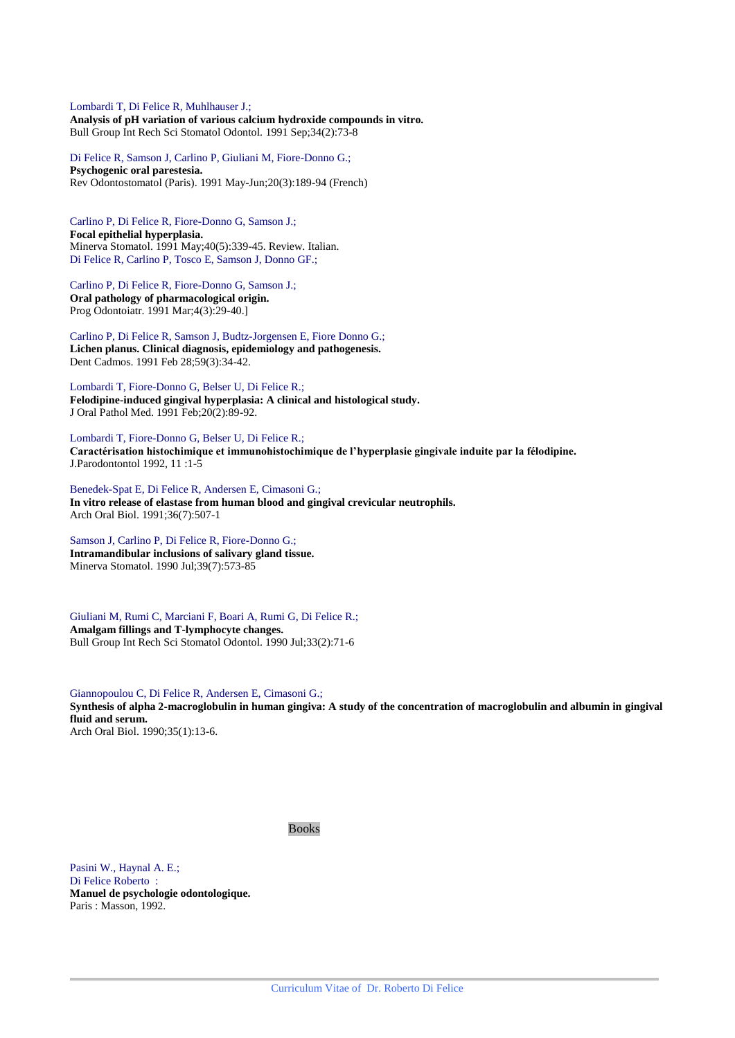Lombardi T, Di Felice R, Muhlhauser J.; **Analysis of pH variation of various calcium hydroxide compounds in vitro.** Bull Group Int Rech Sci Stomatol Odontol. 1991 Sep;34(2):73-8

Di Felice R, Samson J, Carlino P, Giuliani M, Fiore-Donno G.; **Psychogenic oral parestesia.** Rev Odontostomatol (Paris). 1991 May-Jun;20(3):189-94 (French)

Carlino P, Di Felice R, Fiore-Donno G, Samson J.; **Focal epithelial hyperplasia.** Minerva Stomatol. 1991 May;40(5):339-45. Review. Italian. Di Felice R, Carlino P, Tosco E, Samson J, Donno GF.;

Carlino P, Di Felice R, Fiore-Donno G, Samson J.; **Oral pathology of pharmacological origin.** Prog Odontoiatr. 1991 Mar;4(3):29-40.]

Carlino P, Di Felice R, Samson J, Budtz-Jorgensen E, Fiore Donno G.; **Lichen planus. Clinical diagnosis, epidemiology and pathogenesis.** Dent Cadmos. 1991 Feb 28;59(3):34-42.

Lombardi T, Fiore-Donno G, Belser U, Di Felice R.; **Felodipine-induced gingival hyperplasia: A clinical and histological study.** J Oral Pathol Med. 1991 Feb;20(2):89-92.

Lombardi T, Fiore-Donno G, Belser U, Di Felice R.; **Caractérisation histochimique et immunohistochimique de l'hyperplasie gingivale induite par la félodipine.** J.Parodontontol 1992, 11 :1-5

Benedek-Spat E, Di Felice R, Andersen E, Cimasoni G.; **In vitro release of elastase from human blood and gingival crevicular neutrophils.** Arch Oral Biol. 1991;36(7):507-1

Samson J, Carlino P, Di Felice R, Fiore-Donno G.; **Intramandibular inclusions of salivary gland tissue.** Minerva Stomatol. 1990 Jul;39(7):573-85

Giuliani M, Rumi C, Marciani F, Boari A, Rumi G, Di Felice R.; **Amalgam fillings and T-lymphocyte changes.** Bull Group Int Rech Sci Stomatol Odontol. 1990 Jul;33(2):71-6

Giannopoulou C, Di Felice R, Andersen E, Cimasoni G.; **Synthesis of alpha 2-macroglobulin in human gingiva: A study of the concentration of macroglobulin and albumin in gingival fluid and serum.** Arch Oral Biol. 1990;35(1):13-6.

Books

Pasini W., Haynal A. E.; Di Felice Roberto : **Manuel de psychologie odontologique.** Paris : Masson, 1992.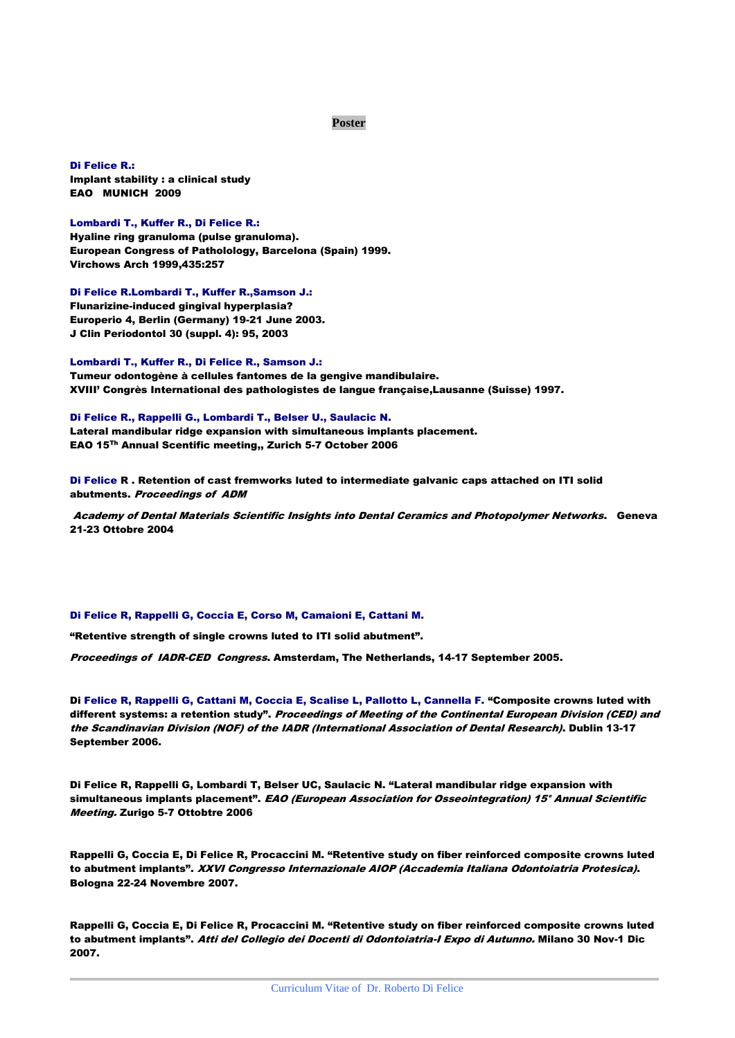## **Poster**

Di Felice R.: Implant stability : a clinical study EAO MUNICH 2009

#### Lombardi T., Kuffer R., Di Felice R.:

Hyaline ring granuloma (pulse granuloma). European Congress of Patholology, Barcelona (Spain) 1999. Virchows Arch 1999,435:257

Di Felice R.Lombardi T., Kuffer R.,Samson J.: Flunarizine-induced gingival hyperplasia? Europerio 4, Berlin (Germany) 19-21 June 2003. J Clin Periodontol 30 (suppl. 4): 95, 2003

Lombardi T., Kuffer R., Di Felice R., Samson J.: Tumeur odontogène à cellules fantomes de la gengive mandibulaire. XVIII' Congrès International des pathologistes de langue française,Lausanne (Suisse) 1997.

Di Felice R., Rappelli G., Lombardi T., Belser U., Saulacic N. Lateral mandibular ridge expansion with simultaneous implants placement. EAO 15Th Annual Scentific meeting,, Zurich 5-7 October 2006

Di Felice R . Retention of cast fremworks luted to intermediate galvanic caps attached on ITI solid abutments. Proceedings of ADM

Academy of Dental Materials Scientific Insights into Dental Ceramics and Photopolymer Networks. Geneva 21-23 Ottobre 2004

#### Di Felice R, Rappelli G, Coccia E, Corso M, Camaioni E, Cattani M.

"Retentive strength of single crowns luted to ITI solid abutment".

Proceedings of IADR-CED Congress. Amsterdam, The Netherlands, 14-17 September 2005.

Di Felice R, Rappelli G, Cattani M, Coccia E, Scalise L, Pallotto L, Cannella F. "Composite crowns luted with different systems: a retention study". Proceedings of Meeting of the Continental European Division (CED) and the Scandinavian Division (NOF) of the IADR (International Association of Dental Research). Dublin 13-17 September 2006.

Di Felice R, Rappelli G, Lombardi T, Belser UC, Saulacic N. "Lateral mandibular ridge expansion with simultaneous implants placement". EAO (European Association for Osseointegration) 15° Annual Scientific Meeting. Zurigo 5-7 Ottobtre 2006

Rappelli G, Coccia E, Di Felice R, Procaccini M. "Retentive study on fiber reinforced composite crowns luted to abutment implants". XXVI Congresso Internazionale AIOP (Accademia Italiana Odontoiatria Protesica). Bologna 22-24 Novembre 2007.

Rappelli G, Coccia E, Di Felice R, Procaccini M. "Retentive study on fiber reinforced composite crowns luted to abutment implants". Atti del Collegio dei Docenti di Odontoiatria-I Expo di Autunno. Milano 30 Nov-1 Dic 2007.